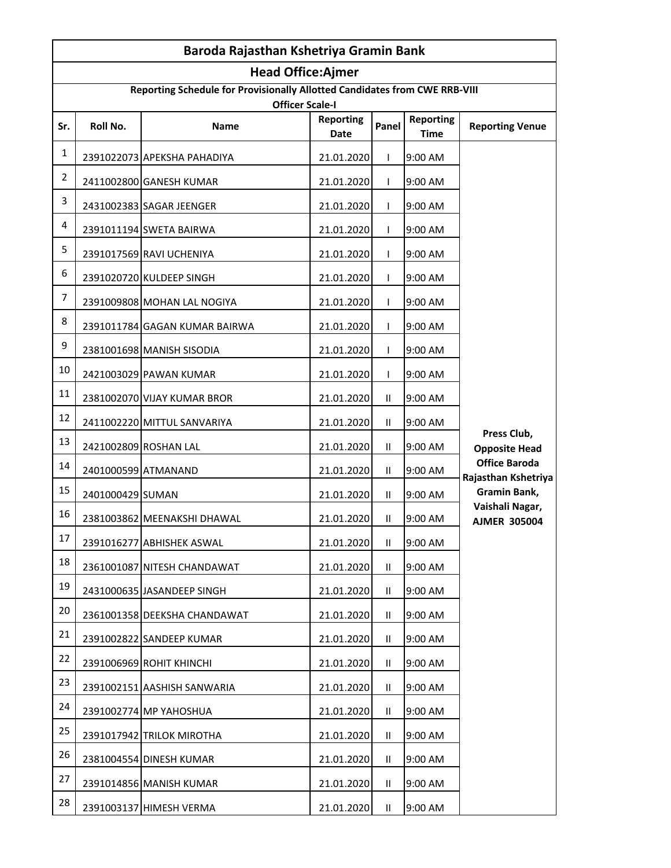|                | Baroda Rajasthan Kshetriya Gramin Bank |                                                                                                      |                          |               |                                 |                                             |  |
|----------------|----------------------------------------|------------------------------------------------------------------------------------------------------|--------------------------|---------------|---------------------------------|---------------------------------------------|--|
|                |                                        | <b>Head Office:Ajmer</b>                                                                             |                          |               |                                 |                                             |  |
|                |                                        | Reporting Schedule for Provisionally Allotted Candidates from CWE RRB-VIII<br><b>Officer Scale-I</b> |                          |               |                                 |                                             |  |
| Sr.            | Roll No.                               | Name                                                                                                 | <b>Reporting</b><br>Date | Panel         | <b>Reporting</b><br><b>Time</b> | <b>Reporting Venue</b>                      |  |
| $\mathbf{1}$   |                                        | 2391022073 APEKSHA PAHADIYA                                                                          | 21.01.2020               | L             | 9:00 AM                         |                                             |  |
| $\overline{2}$ |                                        | 2411002800 GANESH KUMAR                                                                              | 21.01.2020               | $\mathbf{L}$  | 9:00 AM                         |                                             |  |
| 3              |                                        | 2431002383 SAGAR JEENGER                                                                             | 21.01.2020               | L             | 9:00 AM                         |                                             |  |
| 4              |                                        | 2391011194 SWETA BAIRWA                                                                              | 21.01.2020               | L             | 9:00 AM                         |                                             |  |
| 5              |                                        | 2391017569 RAVI UCHENIYA                                                                             | 21.01.2020               | $\mathsf{L}$  | 9:00 AM                         |                                             |  |
| 6              |                                        | 2391020720 KULDEEP SINGH                                                                             | 21.01.2020               | L             | 9:00 AM                         |                                             |  |
| 7              |                                        | 2391009808 MOHAN LAL NOGIYA                                                                          | 21.01.2020               | T             | 9:00 AM                         |                                             |  |
| 8              |                                        | 2391011784 GAGAN KUMAR BAIRWA                                                                        | 21.01.2020               | $\mathbf{L}$  | 9:00 AM                         |                                             |  |
| 9              |                                        | 2381001698 MANISH SISODIA                                                                            | 21.01.2020               | L             | 9:00 AM                         |                                             |  |
| 10             |                                        | 2421003029 PAWAN KUMAR                                                                               | 21.01.2020               | T             | 9:00 AM                         |                                             |  |
| 11             |                                        | 2381002070 VIJAY KUMAR BROR                                                                          | 21.01.2020               | $\mathbf{II}$ | 9:00 AM                         |                                             |  |
| 12             |                                        | 2411002220 MITTUL SANVARIYA                                                                          | 21.01.2020               | $\mathbf{H}$  | 9:00 AM                         |                                             |  |
| 13             |                                        | 2421002809 ROSHAN LAL                                                                                | 21.01.2020               | $\mathbf{H}$  | 9:00 AM                         | Press Club,<br><b>Opposite Head</b>         |  |
| 14             | 2401000599 ATMANAND                    |                                                                                                      | 21.01.2020               | $\mathbf{II}$ | 9:00 AM                         | <b>Office Baroda</b><br>Rajasthan Kshetriya |  |
| 15             | 2401000429 SUMAN                       |                                                                                                      | 21.01.2020               | Ш.            | 9:00 AM                         | Gramin Bank,                                |  |
| 16             |                                        | 2381003862 MEENAKSHI DHAWAL                                                                          | 21.01.2020               | $\mathbf{H}$  | 9:00 AM                         | Vaishali Nagar,<br><b>AJMER 305004</b>      |  |
| 17             |                                        | 2391016277 ABHISHEK ASWAL                                                                            | 21.01.2020               | $\mathbf{H}$  | 9:00 AM                         |                                             |  |
| 18             |                                        | 2361001087 NITESH CHANDAWAT                                                                          | 21.01.2020               | Ш.            | 9:00 AM                         |                                             |  |
| 19             |                                        | 2431000635 JASANDEEP SINGH                                                                           | 21.01.2020               | $\mathbf{H}$  | 9:00 AM                         |                                             |  |
| 20             |                                        | 2361001358 DEEKSHA CHANDAWAT                                                                         | 21.01.2020               | $\mathbf{H}$  | 9:00 AM                         |                                             |  |
| 21             |                                        | 2391002822 SANDEEP KUMAR                                                                             | 21.01.2020               | Ш.            | 9:00 AM                         |                                             |  |
| 22             |                                        | 2391006969 ROHIT KHINCHI                                                                             | 21.01.2020               | Ш.            | 9:00 AM                         |                                             |  |
| 23             |                                        | 2391002151 AASHISH SANWARIA                                                                          | 21.01.2020               | Ш.            | 9:00 AM                         |                                             |  |
| 24             |                                        | 2391002774 MP YAHOSHUA                                                                               | 21.01.2020               | Ш.            | 9:00 AM                         |                                             |  |
| 25             |                                        | 2391017942 TRILOK MIROTHA                                                                            | 21.01.2020               | Ш.            | 9:00 AM                         |                                             |  |
| 26             |                                        | 2381004554 DINESH KUMAR                                                                              | 21.01.2020               | $\mathbf{H}$  | 9:00 AM                         |                                             |  |
| 27             |                                        | 2391014856 MANISH KUMAR                                                                              | 21.01.2020               | Ш.            | 9:00 AM                         |                                             |  |
| 28             |                                        | 2391003137 HIMESH VERMA                                                                              | 21.01.2020               | $\mathbf{H}$  | 9:00 AM                         |                                             |  |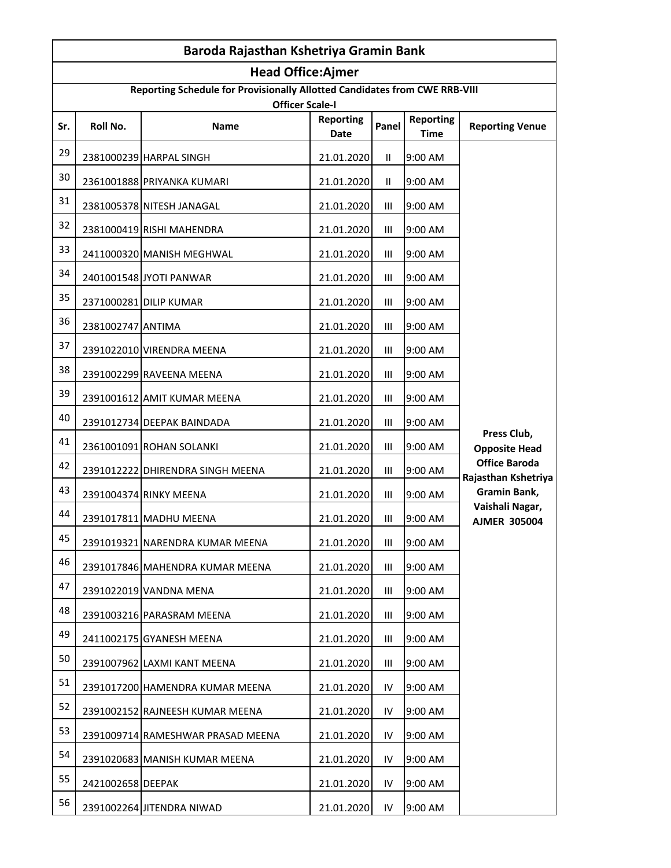|     | Baroda Rajasthan Kshetriya Gramin Bank |                                                                                                      |                          |                |                                 |                                             |  |
|-----|----------------------------------------|------------------------------------------------------------------------------------------------------|--------------------------|----------------|---------------------------------|---------------------------------------------|--|
|     |                                        | <b>Head Office:Ajmer</b>                                                                             |                          |                |                                 |                                             |  |
|     |                                        | Reporting Schedule for Provisionally Allotted Candidates from CWE RRB-VIII<br><b>Officer Scale-I</b> |                          |                |                                 |                                             |  |
| Sr. | Roll No.                               | Name                                                                                                 | <b>Reporting</b><br>Date | Panel          | <b>Reporting</b><br><b>Time</b> | <b>Reporting Venue</b>                      |  |
| 29  |                                        | 2381000239 HARPAL SINGH                                                                              | 21.01.2020               | Ш.             | 9:00 AM                         |                                             |  |
| 30  |                                        | 2361001888 PRIYANKA KUMARI                                                                           | 21.01.2020               | $\mathbf{II}$  | 9:00 AM                         |                                             |  |
| 31  |                                        | 2381005378 NITESH JANAGAL                                                                            | 21.01.2020               | $\mathbf{III}$ | 9:00 AM                         |                                             |  |
| 32  |                                        | 2381000419 RISHI MAHENDRA                                                                            | 21.01.2020               | Ш              | 9:00 AM                         |                                             |  |
| 33  |                                        | 2411000320 MANISH MEGHWAL                                                                            | 21.01.2020               | Ш              | 9:00 AM                         |                                             |  |
| 34  |                                        | 2401001548 JYOTI PANWAR                                                                              | 21.01.2020               | III            | 9:00 AM                         |                                             |  |
| 35  |                                        | 2371000281 DILIP KUMAR                                                                               | 21.01.2020               | Ш              | 9:00 AM                         |                                             |  |
| 36  | 2381002747 ANTIMA                      |                                                                                                      | 21.01.2020               | Ш              | 9:00 AM                         |                                             |  |
| 37  |                                        | 2391022010 VIRENDRA MEENA                                                                            | 21.01.2020               | Ш              | 9:00 AM                         |                                             |  |
| 38  |                                        | 2391002299 RAVEENA MEENA                                                                             | 21.01.2020               | III            | 9:00 AM                         |                                             |  |
| 39  |                                        | 2391001612 AMIT KUMAR MEENA                                                                          | 21.01.2020               | Ш              | 9:00 AM                         |                                             |  |
| 40  |                                        | 2391012734 DEEPAK BAINDADA                                                                           | 21.01.2020               | Ш              | 9:00 AM                         |                                             |  |
| 41  |                                        | 2361001091 ROHAN SOLANKI                                                                             | 21.01.2020               | Ш              | 9:00 AM                         | Press Club,<br><b>Opposite Head</b>         |  |
| 42  |                                        | 2391012222 DHIRENDRA SINGH MEENA                                                                     | 21.01.2020               | Ш              | 9:00 AM                         | <b>Office Baroda</b><br>Rajasthan Kshetriya |  |
| 43  |                                        | 2391004374 RINKY MEENA                                                                               | 21.01.2020               | Ш              | 9:00 AM                         | Gramin Bank,                                |  |
| 44  |                                        | 2391017811 MADHU MEENA                                                                               | 21.01.2020               | Ш              | 9:00 AM                         | Vaishali Nagar,<br><b>AJMER 305004</b>      |  |
| 45  |                                        | 2391019321 NARENDRA KUMAR MEENA                                                                      | 21.01.2020               | Ш              | 9:00 AM                         |                                             |  |
| 46  |                                        | 2391017846 MAHENDRA KUMAR MEENA                                                                      | 21.01.2020               | Ш              | 9:00 AM                         |                                             |  |
| 47  |                                        | 2391022019 VANDNA MENA                                                                               | 21.01.2020               | Ш              | 9:00 AM                         |                                             |  |
| 48  |                                        | 2391003216 PARASRAM MEENA                                                                            | 21.01.2020               | Ш              | 9:00 AM                         |                                             |  |
| 49  |                                        | 2411002175 GYANESH MEENA                                                                             | 21.01.2020               | Ш              | 9:00 AM                         |                                             |  |
| 50  |                                        | 2391007962 LAXMI KANT MEENA                                                                          | 21.01.2020               | Ш              | 9:00 AM                         |                                             |  |
| 51  |                                        | 2391017200 HAMENDRA KUMAR MEENA                                                                      | 21.01.2020               | IV             | 9:00 AM                         |                                             |  |
| 52  |                                        | 2391002152 RAJNEESH KUMAR MEENA                                                                      | 21.01.2020               | IV             | 9:00 AM                         |                                             |  |
| 53  |                                        | 2391009714 RAMESHWAR PRASAD MEENA                                                                    | 21.01.2020               | IV             | 9:00 AM                         |                                             |  |
| 54  |                                        | 2391020683 MANISH KUMAR MEENA                                                                        | 21.01.2020               | IV             | 9:00 AM                         |                                             |  |
| 55  | 2421002658 DEEPAK                      |                                                                                                      | 21.01.2020               | IV             | 9:00 AM                         |                                             |  |
| 56  |                                        | 2391002264 JITENDRA NIWAD                                                                            | 21.01.2020               | IV             | 9:00 AM                         |                                             |  |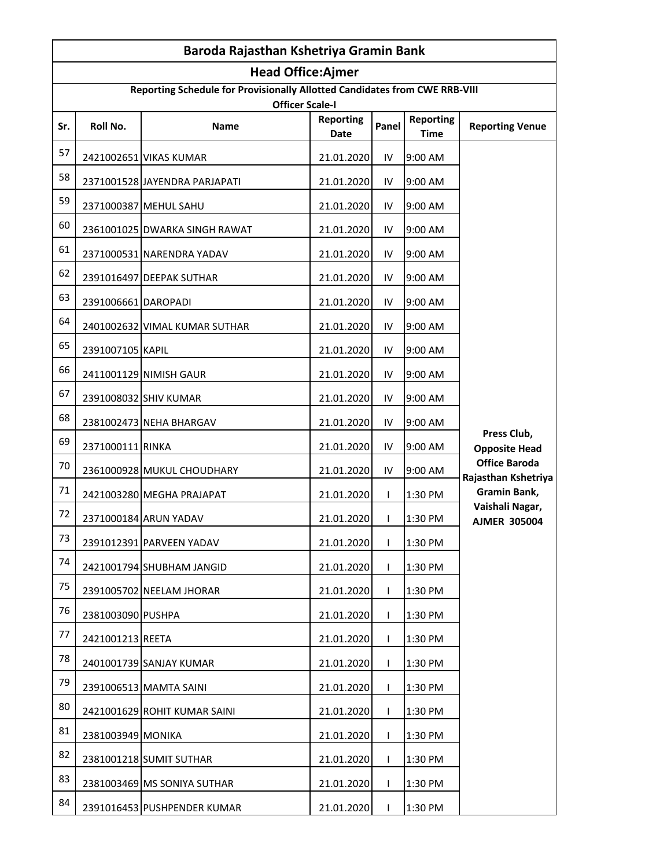|     | Baroda Rajasthan Kshetriya Gramin Bank |                                                                                                      |                          |              |                                 |                                             |  |
|-----|----------------------------------------|------------------------------------------------------------------------------------------------------|--------------------------|--------------|---------------------------------|---------------------------------------------|--|
|     |                                        | <b>Head Office:Ajmer</b>                                                                             |                          |              |                                 |                                             |  |
|     |                                        | Reporting Schedule for Provisionally Allotted Candidates from CWE RRB-VIII<br><b>Officer Scale-I</b> |                          |              |                                 |                                             |  |
| Sr. | Roll No.                               | Name                                                                                                 | <b>Reporting</b><br>Date | Panel        | <b>Reporting</b><br><b>Time</b> | <b>Reporting Venue</b>                      |  |
| 57  |                                        | 2421002651 VIKAS KUMAR                                                                               | 21.01.2020               | IV           | 9:00 AM                         |                                             |  |
| 58  |                                        | 2371001528 JAYENDRA PARJAPATI                                                                        | 21.01.2020               | IV           | 9:00 AM                         |                                             |  |
| 59  |                                        | 2371000387 MEHUL SAHU                                                                                | 21.01.2020               | IV           | 9:00 AM                         |                                             |  |
| 60  |                                        | 2361001025 DWARKA SINGH RAWAT                                                                        | 21.01.2020               | IV           | 9:00 AM                         |                                             |  |
| 61  |                                        | 2371000531 NARENDRA YADAV                                                                            | 21.01.2020               | IV           | 9:00 AM                         |                                             |  |
| 62  |                                        | 2391016497 DEEPAK SUTHAR                                                                             | 21.01.2020               | IV           | 9:00 AM                         |                                             |  |
| 63  | 2391006661 DAROPADI                    |                                                                                                      | 21.01.2020               | IV           | 9:00 AM                         |                                             |  |
| 64  |                                        | 2401002632 VIMAL KUMAR SUTHAR                                                                        | 21.01.2020               | IV           | 9:00 AM                         |                                             |  |
| 65  | 2391007105 KAPIL                       |                                                                                                      | 21.01.2020               | IV           | 9:00 AM                         |                                             |  |
| 66  |                                        | 2411001129 NIMISH GAUR                                                                               | 21.01.2020               | IV           | 9:00 AM                         |                                             |  |
| 67  |                                        | 2391008032 SHIV KUMAR                                                                                | 21.01.2020               | IV           | 9:00 AM                         |                                             |  |
| 68  |                                        | 2381002473 NEHA BHARGAV                                                                              | 21.01.2020               | IV           | 9:00 AM                         |                                             |  |
| 69  | 2371000111 RINKA                       |                                                                                                      | 21.01.2020               | IV           | 9:00 AM                         | Press Club,<br><b>Opposite Head</b>         |  |
| 70  |                                        | 2361000928 MUKUL CHOUDHARY                                                                           | 21.01.2020               | IV           | 9:00 AM                         | <b>Office Baroda</b><br>Rajasthan Kshetriya |  |
| 71  |                                        | 2421003280 MEGHA PRAJAPAT                                                                            | 21.01.2020               | L            | 1:30 PM                         | Gramin Bank,                                |  |
| 72  |                                        | 2371000184 ARUN YADAV                                                                                | 21.01.2020               | L            | 1:30 PM                         | Vaishali Nagar,<br><b>AJMER 305004</b>      |  |
| 73  |                                        | 2391012391 PARVEEN YADAV                                                                             | 21.01.2020               | $\mathbf{I}$ | 1:30 PM                         |                                             |  |
| 74  |                                        | 2421001794 SHUBHAM JANGID                                                                            | 21.01.2020               | L            | 1:30 PM                         |                                             |  |
| 75  |                                        | 2391005702 NEELAM JHORAR                                                                             | 21.01.2020               | L            | 1:30 PM                         |                                             |  |
| 76  | 2381003090 PUSHPA                      |                                                                                                      | 21.01.2020               | L            | 1:30 PM                         |                                             |  |
| 77  | 2421001213 REETA                       |                                                                                                      | 21.01.2020               | $\mathbf{I}$ | 1:30 PM                         |                                             |  |
| 78  |                                        | 2401001739 SANJAY KUMAR                                                                              | 21.01.2020               | $\mathbf{L}$ | 1:30 PM                         |                                             |  |
| 79  |                                        | 2391006513 MAMTA SAINI                                                                               | 21.01.2020               | $\mathbf{I}$ | 1:30 PM                         |                                             |  |
| 80  |                                        | 2421001629 ROHIT KUMAR SAINI                                                                         | 21.01.2020               | $\mathbf{I}$ | 1:30 PM                         |                                             |  |
| 81  | 2381003949 MONIKA                      |                                                                                                      | 21.01.2020               | L            | 1:30 PM                         |                                             |  |
| 82  |                                        | 2381001218 SUMIT SUTHAR                                                                              | 21.01.2020               | $\mathbf{L}$ | 1:30 PM                         |                                             |  |
| 83  |                                        | 2381003469 MS SONIYA SUTHAR                                                                          | 21.01.2020               | $\mathbf{I}$ | 1:30 PM                         |                                             |  |
| 84  |                                        | 2391016453 PUSHPENDER KUMAR                                                                          | 21.01.2020               | $\mathbf{I}$ | 1:30 PM                         |                                             |  |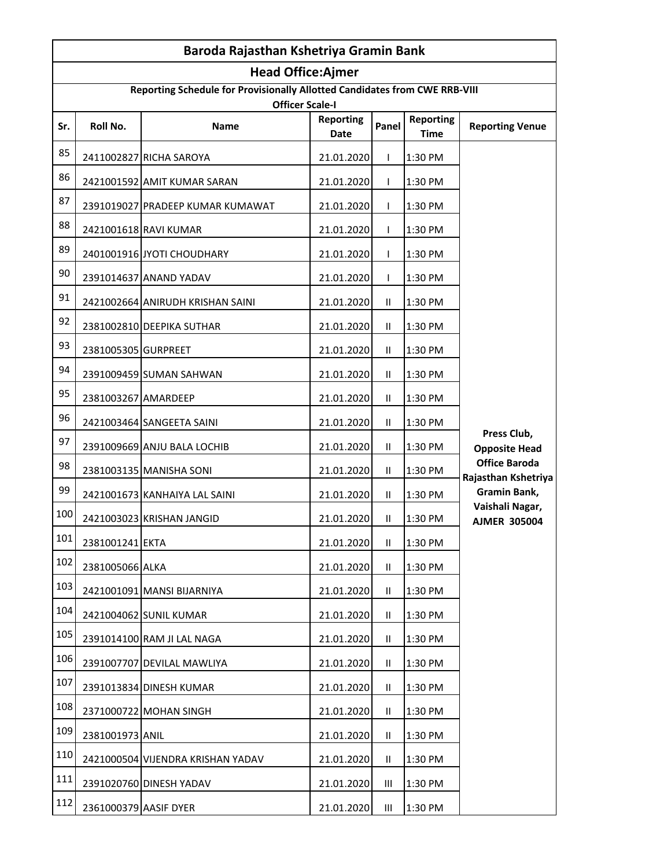|     | Baroda Rajasthan Kshetriya Gramin Bank |                                                                                                      |                          |               |                                 |                                             |  |
|-----|----------------------------------------|------------------------------------------------------------------------------------------------------|--------------------------|---------------|---------------------------------|---------------------------------------------|--|
|     |                                        | <b>Head Office:Ajmer</b>                                                                             |                          |               |                                 |                                             |  |
|     |                                        | Reporting Schedule for Provisionally Allotted Candidates from CWE RRB-VIII<br><b>Officer Scale-I</b> |                          |               |                                 |                                             |  |
| Sr. | Roll No.                               | Name                                                                                                 | <b>Reporting</b><br>Date | Panel         | <b>Reporting</b><br><b>Time</b> | <b>Reporting Venue</b>                      |  |
| 85  |                                        | 2411002827 RICHA SAROYA                                                                              | 21.01.2020               | L             | 1:30 PM                         |                                             |  |
| 86  |                                        | 2421001592 AMIT KUMAR SARAN                                                                          | 21.01.2020               | $\mathbf{L}$  | 1:30 PM                         |                                             |  |
| 87  |                                        | 2391019027 PRADEEP KUMAR KUMAWAT                                                                     | 21.01.2020               | L             | 1:30 PM                         |                                             |  |
| 88  |                                        | 2421001618 RAVI KUMAR                                                                                | 21.01.2020               | L             | 1:30 PM                         |                                             |  |
| 89  |                                        | 2401001916 JYOTI CHOUDHARY                                                                           | 21.01.2020               | $\mathbf{L}$  | 1:30 PM                         |                                             |  |
| 90  |                                        | 2391014637 ANAND YADAV                                                                               | 21.01.2020               | L             | 1:30 PM                         |                                             |  |
| 91  |                                        | 2421002664 ANIRUDH KRISHAN SAINI                                                                     | 21.01.2020               | $\mathbf{H}$  | 1:30 PM                         |                                             |  |
| 92  |                                        | 2381002810 DEEPIKA SUTHAR                                                                            | 21.01.2020               | $\mathbf{H}$  | 1:30 PM                         |                                             |  |
| 93  | 2381005305 GURPREET                    |                                                                                                      | 21.01.2020               | $\mathbf{H}$  | 1:30 PM                         |                                             |  |
| 94  |                                        | 2391009459 SUMAN SAHWAN                                                                              | 21.01.2020               | $\mathbf{H}$  | 1:30 PM                         |                                             |  |
| 95  | 2381003267 AMARDEEP                    |                                                                                                      | 21.01.2020               | $\mathbf{II}$ | 1:30 PM                         |                                             |  |
| 96  |                                        | 2421003464 SANGEETA SAINI                                                                            | 21.01.2020               | Ш             | 1:30 PM                         |                                             |  |
| 97  |                                        | 2391009669 ANJU BALA LOCHIB                                                                          | 21.01.2020               | $\mathbf{H}$  | 1:30 PM                         | Press Club,<br><b>Opposite Head</b>         |  |
| 98  |                                        | 2381003135 MANISHA SONI                                                                              | 21.01.2020               | Ш.            | 1:30 PM                         | <b>Office Baroda</b><br>Rajasthan Kshetriya |  |
| 99  |                                        | 2421001673 KANHAIYA LAL SAINI                                                                        | 21.01.2020               | Ш.            | 1:30 PM                         | <b>Gramin Bank,</b>                         |  |
| 100 |                                        | 2421003023 KRISHAN JANGID                                                                            | 21.01.2020               | $\mathbf{H}$  | 1:30 PM                         | Vaishali Nagar,<br><b>AJMER 305004</b>      |  |
| 101 | 2381001241 EKTA                        |                                                                                                      | 21.01.2020               | Ш             | 1:30 PM                         |                                             |  |
| 102 | 2381005066 ALKA                        |                                                                                                      | 21.01.2020               | Ш.            | 1:30 PM                         |                                             |  |
| 103 |                                        | 2421001091 MANSI BIJARNIYA                                                                           | 21.01.2020               | $\mathbf{H}$  | 1:30 PM                         |                                             |  |
| 104 |                                        | 2421004062 SUNIL KUMAR                                                                               | 21.01.2020               | Ш.            | 1:30 PM                         |                                             |  |
| 105 |                                        | 2391014100 RAM JI LAL NAGA                                                                           | 21.01.2020               | Ш.            | 1:30 PM                         |                                             |  |
| 106 |                                        | 2391007707 DEVILAL MAWLIYA                                                                           | 21.01.2020               | $\mathbf{H}$  | 1:30 PM                         |                                             |  |
| 107 |                                        | 2391013834 DINESH KUMAR                                                                              | 21.01.2020               | Ш.            | 1:30 PM                         |                                             |  |
| 108 |                                        | 2371000722 MOHAN SINGH                                                                               | 21.01.2020               | Ш.            | 1:30 PM                         |                                             |  |
| 109 | 2381001973 ANIL                        |                                                                                                      | 21.01.2020               | $\mathbf{H}$  | 1:30 PM                         |                                             |  |
| 110 |                                        | 2421000504 VIJENDRA KRISHAN YADAV                                                                    | 21.01.2020               | $\mathbf{H}$  | 1:30 PM                         |                                             |  |
| 111 |                                        | 2391020760 DINESH YADAV                                                                              | 21.01.2020               | Ш             | 1:30 PM                         |                                             |  |
| 112 | 2361000379 AASIF DYER                  |                                                                                                      | 21.01.2020               | Ш             | 1:30 PM                         |                                             |  |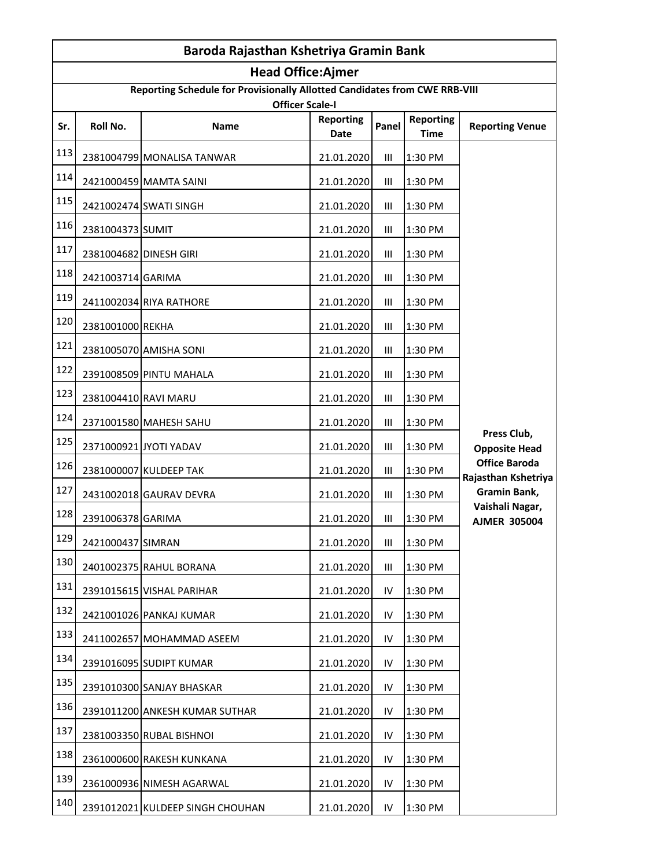|     | Baroda Rajasthan Kshetriya Gramin Bank |                                                                                                      |                          |       |                                 |                                             |  |
|-----|----------------------------------------|------------------------------------------------------------------------------------------------------|--------------------------|-------|---------------------------------|---------------------------------------------|--|
|     |                                        | <b>Head Office:Ajmer</b>                                                                             |                          |       |                                 |                                             |  |
|     |                                        | Reporting Schedule for Provisionally Allotted Candidates from CWE RRB-VIII<br><b>Officer Scale-I</b> |                          |       |                                 |                                             |  |
| Sr. | Roll No.                               | <b>Name</b>                                                                                          | <b>Reporting</b><br>Date | Panel | <b>Reporting</b><br><b>Time</b> | <b>Reporting Venue</b>                      |  |
| 113 |                                        | 2381004799 MONALISA TANWAR                                                                           | 21.01.2020               | Ш     | 1:30 PM                         |                                             |  |
| 114 |                                        | 2421000459 MAMTA SAINI                                                                               | 21.01.2020               | Ш     | 1:30 PM                         |                                             |  |
| 115 |                                        | 2421002474 SWATI SINGH                                                                               | 21.01.2020               | Ш     | 1:30 PM                         |                                             |  |
| 116 | 2381004373 SUMIT                       |                                                                                                      | 21.01.2020               | Ш     | 1:30 PM                         |                                             |  |
| 117 | 2381004682 DINESH GIRI                 |                                                                                                      | 21.01.2020               | Ш     | 1:30 PM                         |                                             |  |
| 118 | 2421003714 GARIMA                      |                                                                                                      | 21.01.2020               | Ш     | 1:30 PM                         |                                             |  |
| 119 |                                        | 2411002034 RIYA RATHORE                                                                              | 21.01.2020               | Ш     | 1:30 PM                         |                                             |  |
| 120 | 2381001000 REKHA                       |                                                                                                      | 21.01.2020               | Ш     | 1:30 PM                         |                                             |  |
| 121 |                                        | 2381005070 AMISHA SONI                                                                               | 21.01.2020               | Ш     | 1:30 PM                         |                                             |  |
| 122 |                                        | 2391008509 PINTU MAHALA                                                                              | 21.01.2020               | Ш     | 1:30 PM                         |                                             |  |
| 123 | 2381004410 RAVI MARU                   |                                                                                                      | 21.01.2020               | Ш     | 1:30 PM                         |                                             |  |
| 124 |                                        | 2371001580 MAHESH SAHU                                                                               | 21.01.2020               | Ш     | 1:30 PM                         |                                             |  |
| 125 |                                        | 2371000921 JYOTI YADAV                                                                               | 21.01.2020               | Ш     | 1:30 PM                         | Press Club,<br><b>Opposite Head</b>         |  |
| 126 |                                        | 2381000007 KULDEEP TAK                                                                               | 21.01.2020               | Ш     | 1:30 PM                         | <b>Office Baroda</b><br>Rajasthan Kshetriya |  |
| 127 |                                        | 2431002018 GAURAV DEVRA                                                                              | 21.01.2020               | Ш     | 1:30 PM                         | Gramin Bank,                                |  |
| 128 | 2391006378 GARIMA                      |                                                                                                      | 21.01.2020               | Ш     | 1:30 PM                         | Vaishali Nagar,<br><b>AJMER 305004</b>      |  |
| 129 | 2421000437 SIMRAN                      |                                                                                                      | 21.01.2020               | Ш     | 1:30 PM                         |                                             |  |
| 130 |                                        | 2401002375 RAHUL BORANA                                                                              | 21.01.2020               | Ш     | 1:30 PM                         |                                             |  |
| 131 |                                        | 2391015615 VISHAL PARIHAR                                                                            | 21.01.2020               | IV    | 1:30 PM                         |                                             |  |
| 132 |                                        | 2421001026 PANKAJ KUMAR                                                                              | 21.01.2020               | IV    | 1:30 PM                         |                                             |  |
| 133 |                                        | 2411002657 MOHAMMAD ASEEM                                                                            | 21.01.2020               | IV    | 1:30 PM                         |                                             |  |
| 134 |                                        | 2391016095 SUDIPT KUMAR                                                                              | 21.01.2020               | IV    | 1:30 PM                         |                                             |  |
| 135 |                                        | 2391010300 SANJAY BHASKAR                                                                            | 21.01.2020               | IV    | 1:30 PM                         |                                             |  |
| 136 |                                        | 2391011200 ANKESH KUMAR SUTHAR                                                                       | 21.01.2020               | IV    | 1:30 PM                         |                                             |  |
| 137 |                                        | 2381003350 RUBAL BISHNOI                                                                             | 21.01.2020               | IV    | 1:30 PM                         |                                             |  |
| 138 |                                        | 2361000600 RAKESH KUNKANA                                                                            | 21.01.2020               | IV    | 1:30 PM                         |                                             |  |
| 139 |                                        | 2361000936 NIMESH AGARWAL                                                                            | 21.01.2020               | IV    | 1:30 PM                         |                                             |  |
| 140 |                                        | 2391012021 KULDEEP SINGH CHOUHAN                                                                     | 21.01.2020               | IV.   | 1:30 PM                         |                                             |  |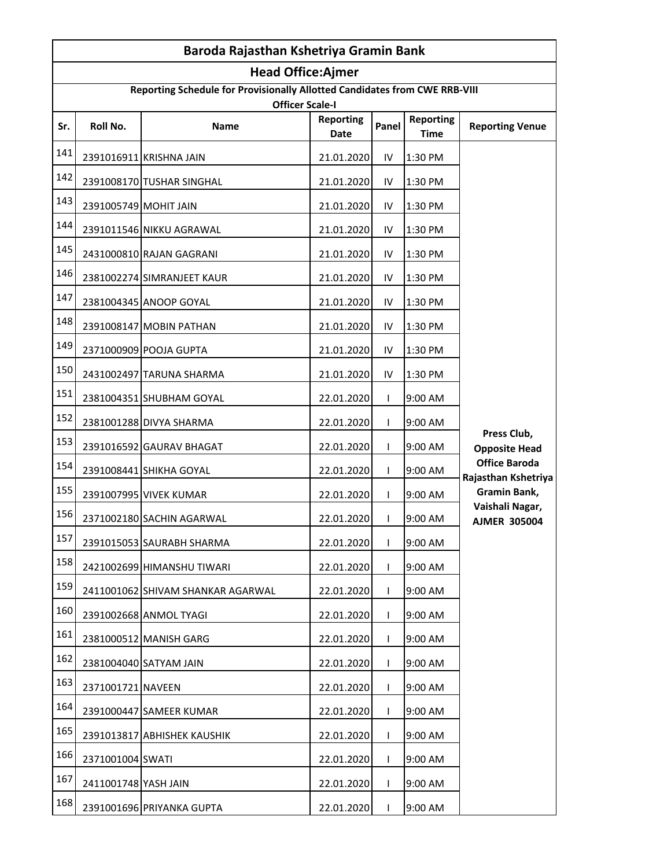| Baroda Rajasthan Kshetriya Gramin Bank |                       |                                                                                                      |                          |              |                                 |                                             |  |
|----------------------------------------|-----------------------|------------------------------------------------------------------------------------------------------|--------------------------|--------------|---------------------------------|---------------------------------------------|--|
|                                        |                       | <b>Head Office:Ajmer</b>                                                                             |                          |              |                                 |                                             |  |
|                                        |                       | Reporting Schedule for Provisionally Allotted Candidates from CWE RRB-VIII<br><b>Officer Scale-I</b> |                          |              |                                 |                                             |  |
| Sr.                                    | Roll No.              | Name                                                                                                 | <b>Reporting</b><br>Date | Panel        | <b>Reporting</b><br><b>Time</b> | <b>Reporting Venue</b>                      |  |
| 141                                    |                       | 2391016911 KRISHNA JAIN                                                                              | 21.01.2020               | IV           | 1:30 PM                         |                                             |  |
| 142                                    |                       | 2391008170 TUSHAR SINGHAL                                                                            | 21.01.2020               | IV           | 1:30 PM                         |                                             |  |
| 143                                    | 2391005749 MOHIT JAIN |                                                                                                      | 21.01.2020               | IV           | 1:30 PM                         |                                             |  |
| 144                                    |                       | 2391011546 NIKKU AGRAWAL                                                                             | 21.01.2020               | IV           | 1:30 PM                         |                                             |  |
| 145                                    |                       | 2431000810 RAJAN GAGRANI                                                                             | 21.01.2020               | IV           | 1:30 PM                         |                                             |  |
| 146                                    |                       | 2381002274 SIMRANJEET KAUR                                                                           | 21.01.2020               | IV           | 1:30 PM                         |                                             |  |
| 147                                    |                       | 2381004345 ANOOP GOYAL                                                                               | 21.01.2020               | IV           | 1:30 PM                         |                                             |  |
| 148                                    |                       | 2391008147 MOBIN PATHAN                                                                              | 21.01.2020               | IV           | 1:30 PM                         |                                             |  |
| 149                                    |                       | 2371000909 POOJA GUPTA                                                                               | 21.01.2020               | IV           | 1:30 PM                         |                                             |  |
| 150                                    |                       | 2431002497 TARUNA SHARMA                                                                             | 21.01.2020               | IV           | 1:30 PM                         |                                             |  |
| 151                                    |                       | 2381004351 SHUBHAM GOYAL                                                                             | 22.01.2020               | L            | 9:00 AM                         |                                             |  |
| 152                                    |                       | 2381001288 DIVYA SHARMA                                                                              | 22.01.2020               | L            | 9:00 AM                         |                                             |  |
| 153                                    |                       | 2391016592 GAURAV BHAGAT                                                                             | 22.01.2020               | L            | 9:00 AM                         | Press Club,<br><b>Opposite Head</b>         |  |
| 154                                    |                       | 2391008441 SHIKHA GOYAL                                                                              | 22.01.2020               | $\mathbf{L}$ | 9:00 AM                         | <b>Office Baroda</b><br>Rajasthan Kshetriya |  |
| 155                                    |                       | 2391007995 VIVEK KUMAR                                                                               | 22.01.2020               | L            | 9:00 AM                         | Gramin Bank,                                |  |
| 156                                    |                       | 2371002180 SACHIN AGARWAL                                                                            | 22.01.2020               | L            | 9:00 AM                         | Vaishali Nagar,<br><b>AJMER 305004</b>      |  |
| 157                                    |                       | 2391015053 SAURABH SHARMA                                                                            | 22.01.2020               | $\mathbf{I}$ | 9:00 AM                         |                                             |  |
| 158                                    |                       | 2421002699 HIMANSHU TIWARI                                                                           | 22.01.2020               | $\mathbf{I}$ | 9:00 AM                         |                                             |  |
| 159                                    |                       | 2411001062 SHIVAM SHANKAR AGARWAL                                                                    | 22.01.2020               | L            | 9:00 AM                         |                                             |  |
| 160                                    |                       | 2391002668 ANMOL TYAGI                                                                               | 22.01.2020               | $\mathbf{I}$ | 9:00 AM                         |                                             |  |
| 161                                    |                       | 2381000512 MANISH GARG                                                                               | 22.01.2020               | $\mathbf{I}$ | 9:00 AM                         |                                             |  |
| 162                                    |                       | 2381004040 SATYAM JAIN                                                                               | 22.01.2020               | L            | 9:00 AM                         |                                             |  |
| 163                                    | 2371001721 NAVEEN     |                                                                                                      | 22.01.2020               | $\mathbf{I}$ | 9:00 AM                         |                                             |  |
| 164                                    |                       | 2391000447 SAMEER KUMAR                                                                              | 22.01.2020               | $\mathbf{I}$ | 9:00 AM                         |                                             |  |
| 165                                    |                       | 2391013817 ABHISHEK KAUSHIK                                                                          | 22.01.2020               | L            | 9:00 AM                         |                                             |  |
| 166                                    | 2371001004 SWATI      |                                                                                                      | 22.01.2020               | $\mathbf{I}$ | 9:00 AM                         |                                             |  |
| 167                                    | 2411001748 YASH JAIN  |                                                                                                      | 22.01.2020               | $\mathbf{I}$ | 9:00 AM                         |                                             |  |
| 168                                    |                       | 2391001696 PRIYANKA GUPTA                                                                            | 22.01.2020               | $\mathbf{I}$ | 9:00 AM                         |                                             |  |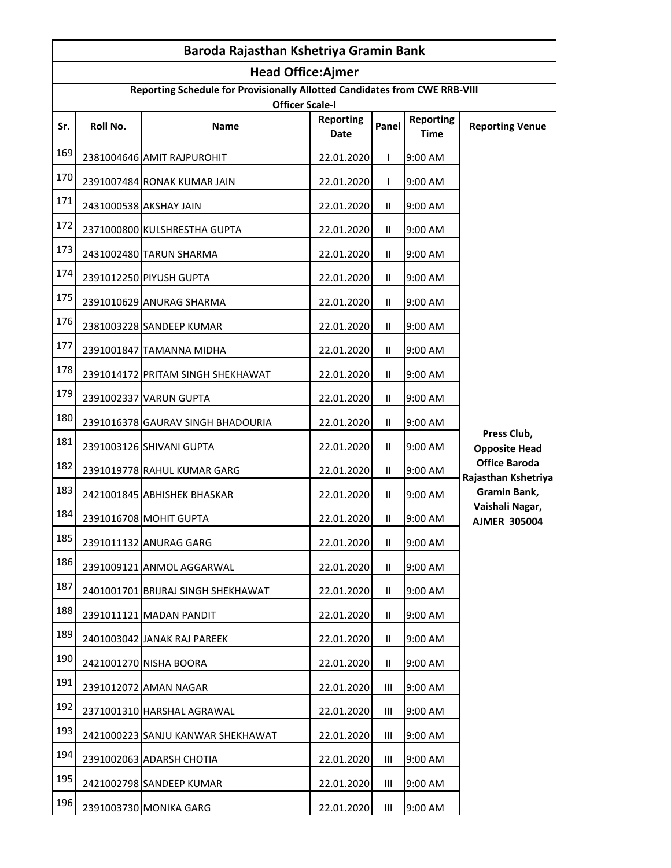| Baroda Rajasthan Kshetriya Gramin Bank |          |                                                                                                      |                          |                |                                 |                                             |
|----------------------------------------|----------|------------------------------------------------------------------------------------------------------|--------------------------|----------------|---------------------------------|---------------------------------------------|
|                                        |          | <b>Head Office:Ajmer</b>                                                                             |                          |                |                                 |                                             |
|                                        |          | Reporting Schedule for Provisionally Allotted Candidates from CWE RRB-VIII<br><b>Officer Scale-I</b> |                          |                |                                 |                                             |
| Sr.                                    | Roll No. | Name                                                                                                 | <b>Reporting</b><br>Date | Panel          | <b>Reporting</b><br><b>Time</b> | <b>Reporting Venue</b>                      |
| 169                                    |          | 2381004646 AMIT RAJPUROHIT                                                                           | 22.01.2020               | L              | 9:00 AM                         |                                             |
| 170                                    |          | 2391007484 RONAK KUMAR JAIN                                                                          | 22.01.2020               | L              | 9:00 AM                         |                                             |
| 171                                    |          | 2431000538 AKSHAY JAIN                                                                               | 22.01.2020               | $\mathbf{H}$   | 9:00 AM                         |                                             |
| 172                                    |          | 2371000800 KULSHRESTHA GUPTA                                                                         | 22.01.2020               | $\mathbf{H}$   | 9:00 AM                         |                                             |
| 173                                    |          | 2431002480 TARUN SHARMA                                                                              | 22.01.2020               | $\mathbf{H}$   | 9:00 AM                         |                                             |
| 174                                    |          | 2391012250 PIYUSH GUPTA                                                                              | 22.01.2020               | $\mathbf{H}$   | 9:00 AM                         |                                             |
| 175                                    |          | 2391010629 ANURAG SHARMA                                                                             | 22.01.2020               | Ш              | 9:00 AM                         |                                             |
| 176                                    |          | 2381003228 SANDEEP KUMAR                                                                             | 22.01.2020               | $\mathbf{II}$  | 9:00 AM                         |                                             |
| 177                                    |          | 2391001847 TAMANNA MIDHA                                                                             | 22.01.2020               | $\mathbf{H}$   | 9:00 AM                         |                                             |
| 178                                    |          | 2391014172 PRITAM SINGH SHEKHAWAT                                                                    | 22.01.2020               | Ш              | 9:00 AM                         |                                             |
| 179                                    |          | 2391002337 VARUN GUPTA                                                                               | 22.01.2020               | $\mathbf{H}$   | 9:00 AM                         |                                             |
| 180                                    |          | 2391016378 GAURAV SINGH BHADOURIA                                                                    | 22.01.2020               | Ш.             | 9:00 AM                         |                                             |
| 181                                    |          | 2391003126 SHIVANI GUPTA                                                                             | 22.01.2020               | Ш              | 9:00 AM                         | Press Club,<br><b>Opposite Head</b>         |
| 182                                    |          | 2391019778 RAHUL KUMAR GARG                                                                          | 22.01.2020               | Ш.             | 9:00 AM                         | <b>Office Baroda</b><br>Rajasthan Kshetriya |
| 183                                    |          | 2421001845 ABHISHEK BHASKAR                                                                          | 22.01.2020               | Ш.             | 9:00 AM                         | Gramin Bank,                                |
| 184                                    |          | 2391016708 MOHIT GUPTA                                                                               | 22.01.2020               | $\mathbf{H}$   | 9:00 AM                         | Vaishali Nagar,<br><b>AJMER 305004</b>      |
| 185                                    |          | 2391011132 ANURAG GARG                                                                               | 22.01.2020               | Ш.             | 9:00 AM                         |                                             |
| 186                                    |          | 2391009121 ANMOL AGGARWAL                                                                            | 22.01.2020               | Ш.             | 9:00 AM                         |                                             |
| 187                                    |          | 2401001701 BRIJRAJ SINGH SHEKHAWAT                                                                   | 22.01.2020               | $\mathbf{H}$   | 9:00 AM                         |                                             |
| 188                                    |          | 2391011121 MADAN PANDIT                                                                              | 22.01.2020               | Ш.             | 9:00 AM                         |                                             |
| 189                                    |          | 2401003042 JANAK RAJ PAREEK                                                                          | 22.01.2020               | Ш.             | 9:00 AM                         |                                             |
| 190                                    |          | 2421001270 NISHA BOORA                                                                               | 22.01.2020               | $\mathbf{H}$   | 9:00 AM                         |                                             |
| 191                                    |          | 2391012072 AMAN NAGAR                                                                                | 22.01.2020               | Ш              | 9:00 AM                         |                                             |
| 192                                    |          | 2371001310 HARSHAL AGRAWAL                                                                           | 22.01.2020               | Ш              | 9:00 AM                         |                                             |
| 193                                    |          | 2421000223 SANJU KANWAR SHEKHAWAT                                                                    | 22.01.2020               | $\mathbf{III}$ | 9:00 AM                         |                                             |
| 194                                    |          | 2391002063 ADARSH CHOTIA                                                                             | 22.01.2020               | Ш              | 9:00 AM                         |                                             |
| 195                                    |          | 2421002798 SANDEEP KUMAR                                                                             | 22.01.2020               | Ш              | 9:00 AM                         |                                             |
| 196                                    |          | 2391003730 MONIKA GARG                                                                               | 22.01.2020               | Ш              | 9:00 AM                         |                                             |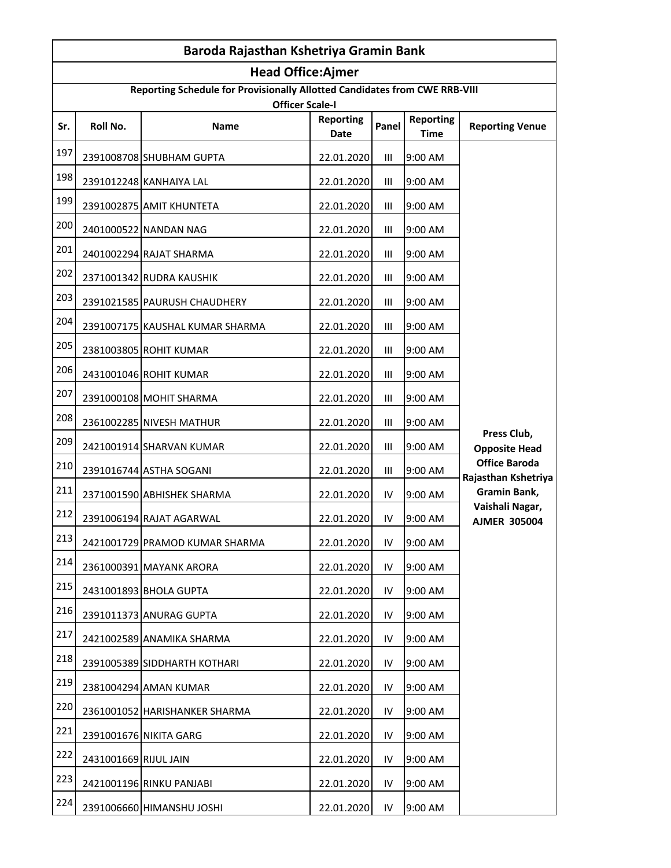|     | Baroda Rajasthan Kshetriya Gramin Bank |                                                                                                      |                          |                |                                 |                                             |  |
|-----|----------------------------------------|------------------------------------------------------------------------------------------------------|--------------------------|----------------|---------------------------------|---------------------------------------------|--|
|     |                                        | <b>Head Office:Ajmer</b>                                                                             |                          |                |                                 |                                             |  |
|     |                                        | Reporting Schedule for Provisionally Allotted Candidates from CWE RRB-VIII<br><b>Officer Scale-I</b> |                          |                |                                 |                                             |  |
| Sr. | Roll No.                               | Name                                                                                                 | <b>Reporting</b><br>Date | Panel          | <b>Reporting</b><br><b>Time</b> | <b>Reporting Venue</b>                      |  |
| 197 |                                        | 2391008708 SHUBHAM GUPTA                                                                             | 22.01.2020               | Ш              | 9:00 AM                         |                                             |  |
| 198 |                                        | 2391012248 KANHAIYA LAL                                                                              | 22.01.2020               | Ш              | 9:00 AM                         |                                             |  |
| 199 |                                        | 2391002875 AMIT KHUNTETA                                                                             | 22.01.2020               | $\mathbf{III}$ | 9:00 AM                         |                                             |  |
| 200 |                                        | 2401000522 NANDAN NAG                                                                                | 22.01.2020               | Ш              | 9:00 AM                         |                                             |  |
| 201 |                                        | 2401002294 RAJAT SHARMA                                                                              | 22.01.2020               | Ш              | 9:00 AM                         |                                             |  |
| 202 |                                        | 2371001342 RUDRA KAUSHIK                                                                             | 22.01.2020               | III            | 9:00 AM                         |                                             |  |
| 203 |                                        | 2391021585 PAURUSH CHAUDHERY                                                                         | 22.01.2020               | Ш              | 9:00 AM                         |                                             |  |
| 204 |                                        | 2391007175 KAUSHAL KUMAR SHARMA                                                                      | 22.01.2020               | Ш              | 9:00 AM                         |                                             |  |
| 205 |                                        | 2381003805 ROHIT KUMAR                                                                               | 22.01.2020               | $\mathbf{III}$ | 9:00 AM                         |                                             |  |
| 206 |                                        | 2431001046 ROHIT KUMAR                                                                               | 22.01.2020               | Ш              | 9:00 AM                         |                                             |  |
| 207 |                                        | 2391000108 MOHIT SHARMA                                                                              | 22.01.2020               | Ш              | 9:00 AM                         |                                             |  |
| 208 |                                        | 2361002285 NIVESH MATHUR                                                                             | 22.01.2020               | Ш              | 9:00 AM                         |                                             |  |
| 209 |                                        | 2421001914 SHARVAN KUMAR                                                                             | 22.01.2020               | Ш              | 9:00 AM                         | Press Club,<br><b>Opposite Head</b>         |  |
| 210 |                                        | 2391016744 ASTHA SOGANI                                                                              | 22.01.2020               | Ш              | 9:00 AM                         | <b>Office Baroda</b><br>Rajasthan Kshetriya |  |
| 211 |                                        | 2371001590 ABHISHEK SHARMA                                                                           | 22.01.2020               | IV             | 9:00 AM                         | Gramin Bank,                                |  |
| 212 |                                        | 2391006194 RAJAT AGARWAL                                                                             | 22.01.2020               | IV             | 9:00 AM                         | Vaishali Nagar,<br><b>AJMER 305004</b>      |  |
| 213 |                                        | 2421001729 PRAMOD KUMAR SHARMA                                                                       | 22.01.2020               | IV             | 9:00 AM                         |                                             |  |
| 214 |                                        | 2361000391 MAYANK ARORA                                                                              | 22.01.2020               | IV             | 9:00 AM                         |                                             |  |
| 215 |                                        | 2431001893 BHOLA GUPTA                                                                               | 22.01.2020               | IV             | 9:00 AM                         |                                             |  |
| 216 |                                        | 2391011373 ANURAG GUPTA                                                                              | 22.01.2020               | IV             | 9:00 AM                         |                                             |  |
| 217 |                                        | 2421002589 ANAMIKA SHARMA                                                                            | 22.01.2020               | IV             | 9:00 AM                         |                                             |  |
| 218 |                                        | 2391005389 SIDDHARTH KOTHARI                                                                         | 22.01.2020               | IV             | 9:00 AM                         |                                             |  |
| 219 |                                        | 2381004294 AMAN KUMAR                                                                                | 22.01.2020               | IV             | 9:00 AM                         |                                             |  |
| 220 |                                        | 2361001052 HARISHANKER SHARMA                                                                        | 22.01.2020               | IV             | 9:00 AM                         |                                             |  |
| 221 |                                        | 2391001676 NIKITA GARG                                                                               | 22.01.2020               | IV             | 9:00 AM                         |                                             |  |
| 222 | 2431001669 RIJUL JAIN                  |                                                                                                      | 22.01.2020               | IV             | 9:00 AM                         |                                             |  |
| 223 |                                        | 2421001196 RINKU PANJABI                                                                             | 22.01.2020               | IV             | 9:00 AM                         |                                             |  |
| 224 |                                        | 2391006660 HIMANSHU JOSHI                                                                            | 22.01.2020               | IV             | 9:00 AM                         |                                             |  |